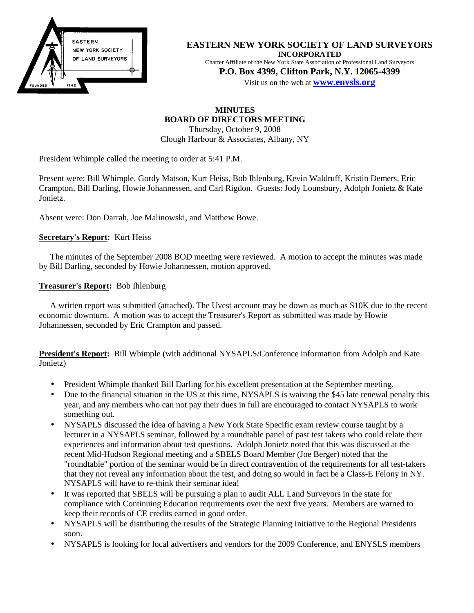

**EASTERN NEW YORK SOCIETY OF LAND SURVEYORS INCORPORATED** Charter Affiliate of the New York State Association of Professional Land Surveyors **P.O. Box 4399, Clifton Park, N.Y. 12065-4399**

Visit us on the web at **www.enysls.org**

# **MINUTES BOARD OF DIRECTORS MEETING**

Thursday, October 9, 2008 Clough Harbour & Associates, Albany, NY

President Whimple called the meeting to order at 5:41 P.M.

Present were: Bill Whimple, Gordy Matson, Kurt Heiss, Bob Ihlenburg, Kevin Waldruff, Kristin Demers, Eric Crampton, Bill Darling, Howie Johannessen, and Carl Rigdon. Guests: Jody Lounsbury, Adolph Jonietz & Kate Jonietz.

Absent were: Don Darrah, Joe Malinowski, and Matthew Bowe.

#### **Secretary's Report:** Kurt Heiss

The minutes of the September 2008 BOD meeting were reviewed. A motion to accept the minutes was made by Bill Darling, seconded by Howie Johannessen, motion approved.

#### **Treasurer's Report:** Bob Ihlenburg

A written report was submitted (attached). The Uvest account may be down as much as \$10K due to the recent economic downturn. A motion was to accept the Treasurer's Report as submitted was made by Howie Johannessen, seconded by Eric Crampton and passed.

**President's Report:** Bill Whimple (with additional NYSAPLS/Conference information from Adolph and Kate Jonietz)

- President Whimple thanked Bill Darling for his excellent presentation at the September meeting.
- Due to the financial situation in the US at this time, NYSAPLS is waiving the \$45 late renewal penalty this year, and any members who can not pay their dues in full are encouraged to contact NYSAPLS to work something out.
- NYSAPLS discussed the idea of having a New York State Specific exam review course taught by a lecturer in a NYSAPLS seminar, followed by a roundtable panel of past test takers who could relate their experiences and information about test questions. Adolph Jonietz noted that this was discussed at the recent Mid-Hudson Regional meeting and a SBELS Board Member (Joe Berger) noted that the "roundtable" portion of the seminar would be in direct contravention of the requirements for all test-takers that they not reveal any information about the test, and doing so would in fact be a Class-E Felony in NY. NYSAPLS will have to re-think their seminar idea!
- It was reported that SBELS will be pursuing a plan to audit ALL Land Surveyors in the state for compliance with Continuing Education requirements over the next five years. Members are warned to keep their records of CE credits earned in good order.
- NYSAPLS will be distributing the results of the Strategic Planning Initiative to the Regional Presidents soon.
- NYSAPLS is looking for local advertisers and vendors for the 2009 Conference, and ENYSLS members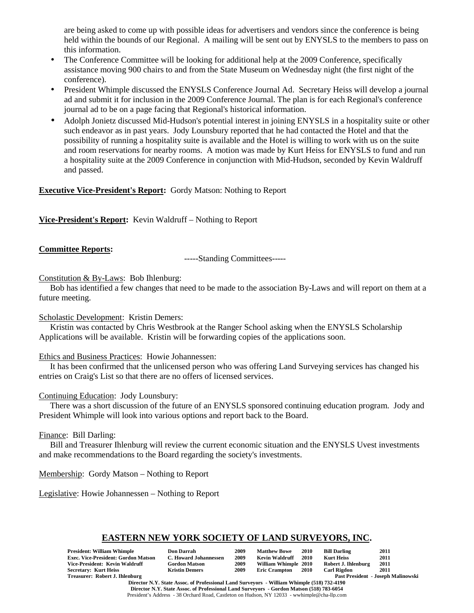are being asked to come up with possible ideas for advertisers and vendors since the conference is being held within the bounds of our Regional. A mailing will be sent out by ENYSLS to the members to pass on this information.

- The Conference Committee will be looking for additional help at the 2009 Conference, specifically assistance moving 900 chairs to and from the State Museum on Wednesday night (the first night of the conference).
- President Whimple discussed the ENYSLS Conference Journal Ad. Secretary Heiss will develop a journal ad and submit it for inclusion in the 2009 Conference Journal. The plan is for each Regional's conference journal ad to be on a page facing that Regional's historical information.
- Adolph Jonietz discussed Mid-Hudson's potential interest in joining ENYSLS in a hospitality suite or other such endeavor as in past years. Jody Lounsbury reported that he had contacted the Hotel and that the possibility of running a hospitality suite is available and the Hotel is willing to work with us on the suite and room reservations for nearby rooms. A motion was made by Kurt Heiss for ENYSLS to fund and run a hospitality suite at the 2009 Conference in conjunction with Mid-Hudson, seconded by Kevin Waldruff and passed.

### **Executive Vice-President's Report:** Gordy Matson: Nothing to Report

**Vice-President's Report:** Kevin Waldruff – Nothing to Report

#### **Committee Reports:**

-----Standing Committees-----

#### Constitution & By-Laws: Bob Ihlenburg:

Bob has identified a few changes that need to be made to the association By-Laws and will report on them at a future meeting.

Scholastic Development: Kristin Demers:

Kristin was contacted by Chris Westbrook at the Ranger School asking when the ENYSLS Scholarship Applications will be available. Kristin will be forwarding copies of the applications soon.

Ethics and Business Practices: Howie Johannessen:

It has been confirmed that the unlicensed person who was offering Land Surveying services has changed his entries on Craig's List so that there are no offers of licensed services.

#### Continuing Education: Jody Lounsbury:

There was a short discussion of the future of an ENYSLS sponsored continuing education program. Jody and President Whimple will look into various options and report back to the Board.

#### Finance: Bill Darling:

Bill and Treasurer Ihlenburg will review the current economic situation and the ENYSLS Uvest investments and make recommendations to the Board regarding the society's investments.

Membership: Gordy Matson – Nothing to Report

Legislative: Howie Johannessen – Nothing to Report

# **EASTERN NEW YORK SOCIETY OF LAND SURVEYORS, INC.**

| President: William Whimple                 | <b>Don Darrah</b>     | 2009 | <b>Matthew Bowe</b>  | <b>2010</b> | <b>Bill Darling</b> | 2011                                      |
|--------------------------------------------|-----------------------|------|----------------------|-------------|---------------------|-------------------------------------------|
| <b>Exec. Vice-President: Gordon Matson</b> | C. Howard Johannessen | 2009 | Kevin Waldruff       | 2010        | <b>Kurt Heiss</b>   | 2011                                      |
| Vice-President: Kevin Waldruff             | <b>Gordon Matson</b>  | 2009 | William Whimple 2010 |             | Robert J. Ihlenburg | 2011                                      |
| Secretary: Kurt Heiss                      | <b>Kristin Demers</b> | 2009 | <b>Eric Crampton</b> | 2010        | <b>Carl Rigdon</b>  | 2011                                      |
| Treasurer: Robert J. Ihlenburg             |                       |      |                      |             |                     | <b>Past President - Joseph Malinowski</b> |

**Director N.Y. State Assoc. of Professional Land Surveyors - William Whimple (518) 732-4190 Director N.Y. State Assoc. of Professional Land Surveyors - Gordon Matson (518) 783-6054** President's Address - 38 Orchard Road, Castleton on Hudson, NY 12033 - wwhimple@cha-llp.com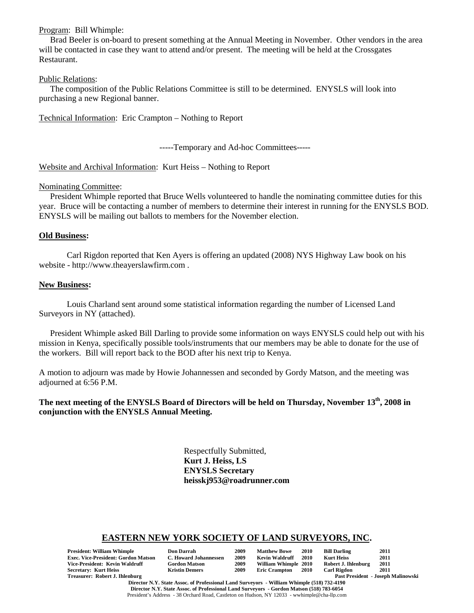#### Program: Bill Whimple:

Brad Beeler is on-board to present something at the Annual Meeting in November. Other vendors in the area will be contacted in case they want to attend and/or present. The meeting will be held at the Crossgates Restaurant.

#### Public Relations:

The composition of the Public Relations Committee is still to be determined. ENYSLS will look into purchasing a new Regional banner.

Technical Information: Eric Crampton – Nothing to Report

-----Temporary and Ad-hoc Committees-----

Website and Archival Information: Kurt Heiss – Nothing to Report

#### Nominating Committee:

President Whimple reported that Bruce Wells volunteered to handle the nominating committee duties for this year. Bruce will be contacting a number of members to determine their interest in running for the ENYSLS BOD. ENYSLS will be mailing out ballots to members for the November election.

#### **Old Business:**

Carl Rigdon reported that Ken Ayers is offering an updated (2008) NYS Highway Law book on his website - http://www.theayerslawfirm.com .

#### **New Business:**

Louis Charland sent around some statistical information regarding the number of Licensed Land Surveyors in NY (attached).

President Whimple asked Bill Darling to provide some information on ways ENYSLS could help out with his mission in Kenya, specifically possible tools/instruments that our members may be able to donate for the use of the workers. Bill will report back to the BOD after his next trip to Kenya.

A motion to adjourn was made by Howie Johannessen and seconded by Gordy Matson, and the meeting was adjourned at 6:56 P.M.

The next meeting of the ENYSLS Board of Directors will be held on Thursday, November 13<sup>th</sup>, 2008 in **conjunction with the ENYSLS Annual Meeting.**

> Respectfully Submitted, **Kurt J. Heiss, LS ENYSLS Secretary heisskj953@roadrunner.com**

#### **EASTERN NEW YORK SOCIETY OF LAND SURVEYORS, INC.**

| <b>President: William Whimple</b>          | <b>Don Darrah</b>     | 2009 | <b>Matthew Bowe</b>  | 2010 | <b>Bill Darling</b> | 2011                                      |
|--------------------------------------------|-----------------------|------|----------------------|------|---------------------|-------------------------------------------|
| <b>Exec. Vice-President: Gordon Matson</b> | C. Howard Johannessen | 2009 | Kevin Waldruff       | 2010 | <b>Kurt Heiss</b>   | 2011                                      |
| Vice-President: Kevin Waldruff             | <b>Gordon Matson</b>  | 2009 | William Whimple 2010 |      | Robert J. Ihlenburg | 2011                                      |
| <b>Secretary: Kurt Heiss</b>               | <b>Kristin Demers</b> | 2009 | <b>Eric Crampton</b> | 2010 | <b>Carl Rigdon</b>  | 2011                                      |
| Treasurer: Robert J. Ihlenburg             |                       |      |                      |      |                     | <b>Past President - Joseph Malinowski</b> |

**Director N.Y. State Assoc. of Professional Land Surveyors - William Whimple (518) 732-4190 Director N.Y. State Assoc. of Professional Land Surveyors - Gordon Matson (518) 783-6054** President's Address - 38 Orchard Road, Castleton on Hudson, NY 12033 - wwhimple@cha-llp.com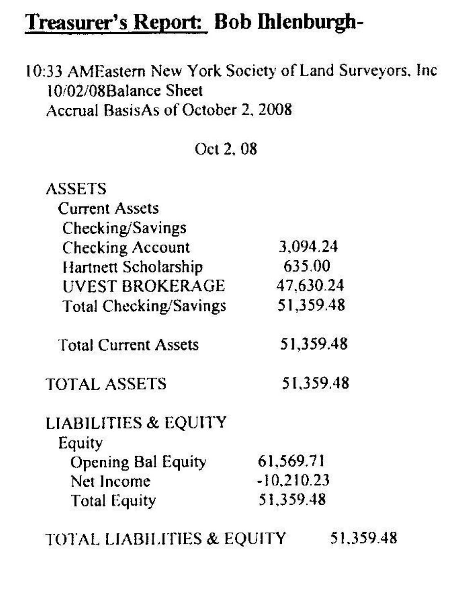# Treasurer's Report: Bob Ihlenburgh-

10:33 AMEastern New York Society of Land Surveyors, Inc 10/02/08Balance Sheet Accrual BasisAs of October 2, 2008

Oct 2, 08

| <b>ASSETS</b>                         |              |           |
|---------------------------------------|--------------|-----------|
| <b>Current Assets</b>                 |              |           |
| Checking/Savings                      |              |           |
| <b>Checking Account</b>               | 3,094.24     |           |
| Hartnett Scholarship                  | 635.00       |           |
| UVEST BROKERAGE                       | 47.630.24    |           |
| <b>Total Checking/Savings</b>         | 51,359.48    |           |
| <b>Total Current Assets</b>           |              | 51,359.48 |
| <b>TOTAL ASSETS</b>                   |              | 51,359.48 |
| <b>LIABILITIES &amp; EQUITY</b>       |              |           |
| Equity                                |              |           |
| <b>Opening Bal Equity</b>             | 61,569.71    |           |
| Net Income                            | $-10,210.23$ |           |
| <b>Total Equity</b>                   | 51,359.48    |           |
| <b>TOTAL LIABILITIES &amp; EQUITY</b> |              | 51,359.48 |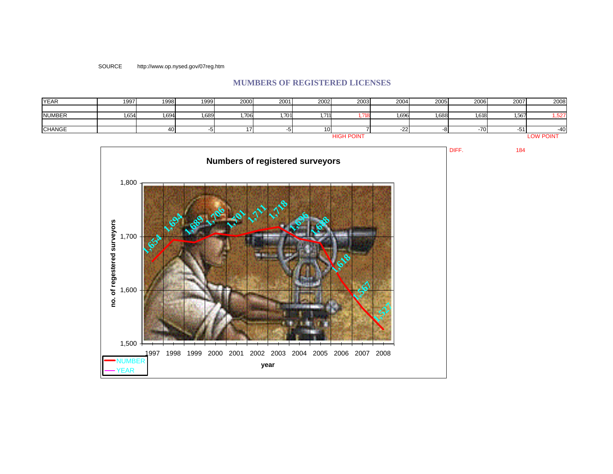SOURCE http://www.op.nysed.gov/07reg.htm

# **MUMBERS OF REGISTERED LICENSES**

| <b>YEAR</b>       | 1997  | 1998  | 1999  | 2000  | 2001  | 2002  | 2003 | 2004  | 2005             | 2006  | 2007  | 2008  |
|-------------------|-------|-------|-------|-------|-------|-------|------|-------|------------------|-------|-------|-------|
|                   |       |       |       |       |       |       |      |       |                  |       |       |       |
| <b>NUMBER</b>     | 1,654 | 1,694 | 1,689 | 1,706 | 1,701 | 1,711 | .718 | 1,696 | .688             | 1,618 | 1,567 | 1,527 |
|                   |       |       |       |       |       |       |      |       |                  |       |       |       |
| <b>CHANGE</b>     |       | 40    |       |       |       | 10I   |      | -22.  |                  | -701  | -51   | $-40$ |
| <b>HIGH POINT</b> |       |       |       |       |       |       |      |       | <b>LOW POINT</b> |       |       |       |



DIFF. 184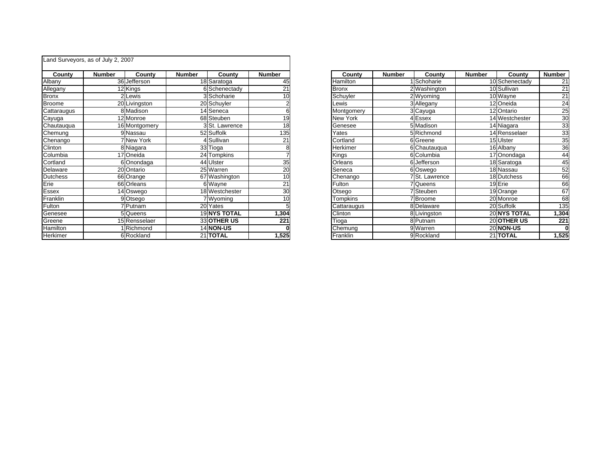|                 | Land Surveyors, as of July 2, 2007 |                   |               |                           |               |              |               |                |               |                  |                |
|-----------------|------------------------------------|-------------------|---------------|---------------------------|---------------|--------------|---------------|----------------|---------------|------------------|----------------|
| County          | <b>Number</b>                      | County            | <b>Number</b> | Countv                    | <b>Number</b> | County       | <b>Number</b> | County         | <b>Number</b> | County           | <b>Number</b>  |
| Albany          |                                    | 36 Jefferson      |               | 18 Saratoga               | 45            | Hamilton     |               | 1 Schoharie    |               | 10 Schenectady   |                |
| Allegany        |                                    | 12 Kings          |               | 6 Schenectady             | 21            | <b>Bronx</b> |               | 2 Washington   |               | 10 Sullivan      | $\overline{2}$ |
| <b>Bronx</b>    |                                    | Lewis             |               | 3 Schoharie               | 10            | Schuyler     |               | 2 Wyoming      |               | 10 Wayne         | $\overline{2}$ |
| <b>Broome</b>   |                                    | 20 Livingston     |               | 20 Schuyler               |               | Lewis        |               | 3 Allegany     |               | 12 Oneida        | 2              |
| Cattaraugus     |                                    | 8 Madison         |               | 14 Seneca                 |               | Montgomery   |               | 3 Cayuga       |               | 12 Ontario       | $\overline{c}$ |
| Cayuga          |                                    | 12 Monroe         |               | 68 Steuben                | 19            | New York     |               | 4 Essex        |               | 14 Westchester   | 3              |
| Chautauqua      |                                    | 16 Montgomery     |               | 3 <sup>St.</sup> Lawrence | 18            | Genesee      |               | 5 Madison      |               | 14 Niagara       | 3              |
| Chemung         |                                    | 9 Nassau          |               | 52 Suffolk                | 135           | Yates        |               | 5 Richmond     |               | 14 Rensselaer    | 3              |
| Chenango        |                                    | <b>7 New York</b> |               | 1 Sullivan                | 21            | Cortland     |               | 6 Greene       |               | 15 Ulster        | 3              |
| Clinton         |                                    | 8 Niagara         |               | 33 Tioga                  |               | Herkimer     |               | 6 Chautauqua   |               | 16 Albany        | 3              |
| Columbia        |                                    | 17 Oneida         |               | 24 Tompkins               |               | Kings        |               | 6 Columbia     |               | 17 Onondaga      |                |
| Cortland        |                                    | 6 Onondaga        |               | 44 Ulster                 | 35            | Orleans      |               | 6 Jefferson    |               | 18 Saratoga      |                |
| Delaware        |                                    | 20 Ontario        |               | 25 Warren                 | 20            | Seneca       |               | 6 Oswego       |               | 18 Nassau        | 5              |
| <b>Dutchess</b> |                                    | 66 Orange         |               | 67 Washington             | 10            | Chenango     |               | 7 St. Lawrence |               | 18 Dutchess      |                |
| Erie            |                                    | 66 Orleans        |               | 6 Wayne                   | 21            | Fulton       |               | 7 Queens       |               | 19 Erie          | 6              |
| <b>Essex</b>    |                                    | 14 Oswego         |               | 18 Westchester            | 30            | Otsego       |               | 7 Steuben      |               | 19 Orange        | 6              |
| Franklin        |                                    | 9Otsego           |               | 7 Wyoming                 | 10            | Tompkins     |               | 7 Broome       |               | 20 Monroe        | 6              |
| Fulton          |                                    | 7 Putnam          |               | 20 Yates                  |               | Cattaraugus  |               | 8 Delaware     |               | 20 Suffolk       | 13             |
| Genesee         |                                    | 5 Queens          |               | <b>19 NYS TOTAL</b>       | ,304          | Clinton      |               | 8 Livingston   |               | 20 NYS TOTAL     | 1,30           |
| Greene          |                                    | 15 Rensselaer     |               | 33 OTHER US               | 221           | Tioga        |               | 8 Putnam       |               | 20 OTHER US      | 22             |
| Hamilton        |                                    | Richmond          |               | 14 NON-US                 |               | Chemung      |               | 9 Warren       |               | <b>20 NON-US</b> |                |
| Herkimer        |                                    | 6 Rockland        |               | 21 TOTAL                  | 1,525         | Franklin     |               | 9 Rockland     |               | 21 TOTAL         | 1,52           |

|                | County          | <b>Number</b> | County                      | <b>Number</b> | County         | <b>Number</b> |
|----------------|-----------------|---------------|-----------------------------|---------------|----------------|---------------|
| 5              | <b>Hamilton</b> |               | Schoharie                   |               | 10 Schenectady | 21            |
|                | <b>Bronx</b>    |               | 2Washington                 |               | 10 Sullivan    | 21            |
| $\overline{o}$ | Schuyler        |               | 2 Wyoming                   |               | 10 Wayne       | 21            |
| ∸ ຫ ∞ ໑ ໑ ⊠    | Lewis           |               | 3 Allegany                  |               | 12 Oneida      | 24            |
|                | Montgomery      |               | 3 Cayuga                    |               | 12 Ontario     | 25            |
|                | New York        |               | 4 Essex                     |               | 14 Westchester | 30            |
|                | Genesee         |               | 5 Madison                   |               | 14 Niagara     | 33            |
|                | Yates           |               | 5 Richmond                  |               | 14 Rensselaer  | 33            |
|                | Cortland        |               | 6 Greene                    |               | 15 Ulster      | 35            |
| 8<br>7         | Herkimer        |               | 6 Chautaugua                |               | 16 Albany      | 36            |
|                | Kings           |               | 6 Columbia                  |               | 17 Onondaga    | 44            |
| → ○ ○ 5        | Orleans         |               | 6 Jefferson                 |               | 18 Saratoga    | 45            |
|                | Seneca          |               | 6 Oswego                    |               | 18 Nassau      | 52            |
|                | Chenango        |               | 7 <sup>I</sup> St. Lawrence |               | 18 Dutchess    | 66            |
|                | Fulton          |               | Queens                      |               | 19 Erie        | 66            |
| 1 4 5 ⊙ ∣⊙     | Otsego          |               | Steuben                     |               | 19 Orange      | 67            |
|                | Tompkins        |               | <b>Broome</b>               |               | 20 Monroe      | 68            |
|                | Cattaraugus     |               | 8 Delaware                  |               | 20 Suffolk     | 135           |
|                | Clinton         |               | 8 Livingston                |               | 20 NYS TOTAL   | 1,304         |
|                | Tioga           |               | 8 Putnam                    |               | 20 OTHER US    | 221           |
| $\frac{1}{5}$  | Chemung         |               | 9 Warren                    |               | 20 NON-US      |               |
|                | Franklin        |               | 9 Rockland                  |               | 21 TOTAL       | 1,525         |